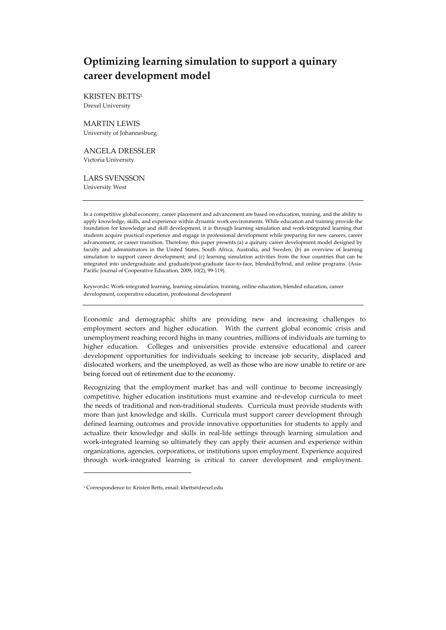# **Optimizing learning simulation to support a quinary career development model**

KRISTEN BETTS1 Drexel University

## MARTIN LEWIS

University of Johannesburg

ANGELA DRESSLER Victoria University

LARS SVENSSON University West

In a competitive global economy, career placement and advancement are based on education, training, and the ability to apply knowledge, skills, and experience within dynamic work environments. While education and training provide the foundation for knowledge and skill development, it is through learning simulation and work‐integrated learning that students acquire practical experience and engage in professional development while preparing for new careers, career advancement, or career transition. Therefore, this paper presents (a) a quinary career development model designed by faculty and administrators in the United States, South Africa, Australia, and Sweden; (b) an overview of learning simulation to support career development; and (c) learning simulation activities from the four countries that can be integrated into undergraduate and graduate/post-graduate face-to-face, blended/hybrid, and online programs. (Asia-Pacific Journal of Cooperative Education, 2009, 10(2), 99‐119).

Keywords: Work‐integrated learning, learning simulation, training, online education, blended education, career development, cooperative education, professional development

Economic and demographic shifts are providing new and increasing challenges to employment sectors and higher education. With the current global economic crisis and unemployment reaching record highs in many countries, millions of individuals are turning to higher education. Colleges and universities provide extensive educational and career development opportunities for individuals seeking to increase job security, displaced and dislocated workers, and the unemployed, as well as those who are now unable to retire or are being forced out of retirement due to the economy.

Recognizing that the employment market has and will continue to become increasingly competitive, higher education institutions must examine and re‐develop curricula to meet the needs of traditional and non-traditional students. Curricula must provide students with more than just knowledge and skills. Curricula must support career development through defined learning outcomes and provide innovative opportunities for students to apply and actualize their knowledge and skills in real‐life settings through learning simulation and work-integrated learning so ultimately they can apply their acumen and experience within organizations, agencies, corporations, or institutions upon employment. Experience acquired through work‐integrated learning is critical to career development and employment.

<sup>1</sup> Correspondence to: Kristen Betts, email: kbetts@drexel.edu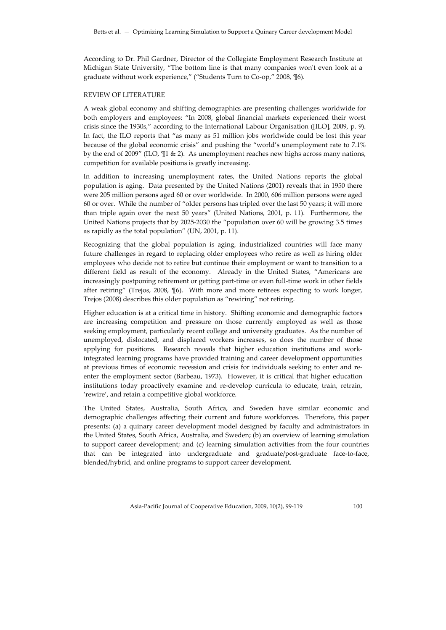According to Dr. Phil Gardner, Director of the Collegiate Employment Research Institute at Michigan State University, "The bottom line is that many companies won't even look at a graduate without work experience," ("Students Turn to Co‐op," 2008, ¶6).

## REVIEW OF LITERATURE

A weak global economy and shifting demographics are presenting challenges worldwide for both employers and employees: "In 2008, global financial markets experienced their worst crisis since the 1930s," according to the International Labour Organisation ([ILO], 2009, p. 9). In fact, the ILO reports that "as many as 51 million jobs worldwide could be lost this year because of the global economic crisis" and pushing the "world's unemployment rate to 7.1% by the end of 2009" (ILO, ¶1 & 2). As unemployment reaches new highs across many nations, competition for available positions is greatly increasing.

In addition to increasing unemployment rates, the United Nations reports the global population is aging. Data presented by the United Nations (2001) reveals that in 1950 there were 205 million persons aged 60 or over worldwide. In 2000, 606 million persons were aged 60 or over. While the number of "older persons has tripled over the last 50 years; it will more than triple again over the next 50 years" (United Nations, 2001, p. 11). Furthermore, the United Nations projects that by 2025-2030 the "population over 60 will be growing 3.5 times as rapidly as the total population" (UN, 2001, p. 11).

Recognizing that the global population is aging, industrialized countries will face many future challenges in regard to replacing older employees who retire as well as hiring older employees who decide not to retire but continue their employment or want to transition to a different field as result of the economy. Already in the United States, "Americans are increasingly postponing retirement or getting part‐time or even full‐time work in other fields after retiring" (Trejos, 2008,  $\P$ 6). With more and more retirees expecting to work longer, Trejos (2008) describes this older population as "rewiring" not retiring.

Higher education is at a critical time in history. Shifting economic and demographic factors are increasing competition and pressure on those currently employed as well as those seeking employment, particularly recent college and university graduates. As the number of unemployed, dislocated, and displaced workers increases, so does the number of those applying for positions. Research reveals that higher education institutions and workintegrated learning programs have provided training and career development opportunities at previous times of economic recession and crisis for individuals seeking to enter and re‐ enter the employment sector (Barbeau, 1973). However, it is critical that higher education institutions today proactively examine and re‐develop curricula to educate, train, retrain, 'rewire', and retain a competitive global workforce.

The United States, Australia, South Africa, and Sweden have similar economic and demographic challenges affecting their current and future workforces. Therefore, this paper presents: (a) a quinary career development model designed by faculty and administrators in the United States, South Africa, Australia, and Sweden; (b) an overview of learning simulation to support career development; and (c) learning simulation activities from the four countries that can be integrated into undergraduate and graduate/post-graduate face-to-face, blended/hybrid, and online programs to support career development.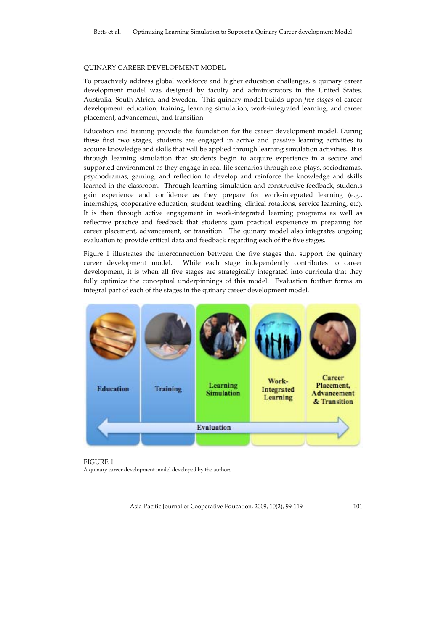## QUINARY CAREER DEVELOPMENT MODEL

To proactively address global workforce and higher education challenges, a quinary career development model was designed by faculty and administrators in the United States, Australia, South Africa, and Sweden. This quinary model builds upon *five stages* of career development: education, training, learning simulation, work‐integrated learning, and career placement, advancement, and transition.

Education and training provide the foundation for the career development model. During these first two stages, students are engaged in active and passive learning activities to acquire knowledge and skills that will be applied through learning simulation activities. It is through learning simulation that students begin to acquire experience in a secure and supported environment as they engage in real-life scenarios through role-plays, sociodramas, psychodramas, gaming, and reflection to develop and reinforce the knowledge and skills learned in the classroom. Through learning simulation and constructive feedback, students gain experience and confidence as they prepare for work‐integrated learning (e.g., internships, cooperative education, student teaching, clinical rotations, service learning, etc). It is then through active engagement in work‐integrated learning programs as well as reflective practice and feedback that students gain practical experience in preparing for career placement, advancement, or transition. The quinary model also integrates ongoing evaluation to provide critical data and feedback regarding each of the five stages.

Figure 1 illustrates the interconnection between the five stages that support the quinary career development model. While each stage independently contributes to career development, it is when all five stages are strategically integrated into curricula that they fully optimize the conceptual underpinnings of this model. Evaluation further forms an integral part of each of the stages in the quinary career development model.



FIGURE 1 A quinary career development model developed by the authors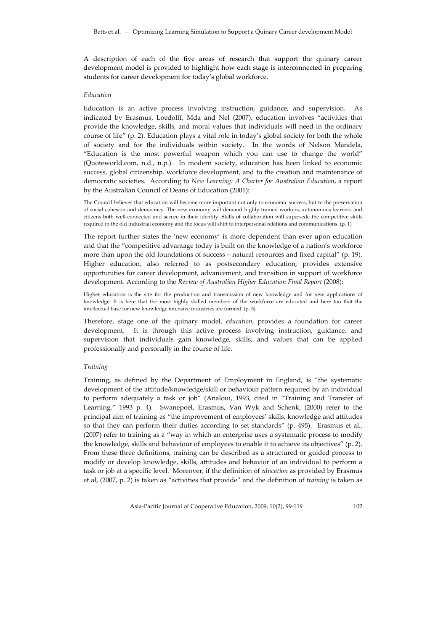A description of each of the five areas of research that support the quinary career development model is provided to highlight how each stage is interconnected in preparing students for career development for today's global workforce.

## *Education*

Education is an active process involving instruction, guidance, and supervision. As indicated by Erasmus, Loedolff, Mda and Nel (2007), education involves "activities that provide the knowledge, skills, and moral values that individuals will need in the ordinary course of life" (p. 2). Education plays a vital role in today's global society for both the whole of society and for the individuals within society. In the words of Nelson Mandela, "Education is the most powerful weapon which you can use to change the world" (Quoteworld.com, n.d., n.p.). In modern society, education has been linked to economic success, global citizenship, workforce development, and to the creation and maintenance of democratic societies. According to *New Learning: A Charter for Australian Education*, a report by the Australian Council of Deans of Education (2001):

The Council believes that education will become more important not only to economic success, but to the preservation of social cohesion and democracy. The new economy will demand highly trained workers, autonomous learners and citizens both well-connected and secure in their identity. Skills of collaboration will supersede the competitive skills required in the old industrial economy and the focus will shift to interpersonal relations and communications. (p. 1)

The report further states the 'new economy' is more dependent than ever upon education and that the "competitive advantage today is built on the knowledge of a nation's workforce more than upon the old foundations of success – natural resources and fixed capital" (p. 19). Higher education, also referred to as postsecondary education, provides extensive opportunities for career development, advancement, and transition in support of workforce development. According to the *Review of Australian Higher Education Final Report* (2008):

Higher education is the site for the production and transmission of new knowledge and for new applications of knowledge. It is here that the most highly skilled members of the workforce are educated and here too that the intellectual base for new knowledge intensive industries are formed. (p. 5)

Therefore, stage one of the quinary model, *education*, provides a foundation for career development. It is through this active process involving instruction, guidance, and supervision that individuals gain knowledge, skills, and values that can be applied professionally and personally in the course of life.

#### *Training*

Training, as defined by the Department of Employment in England, is "the systematic development of the attitude/knowledge/skill or behaviour pattern required by an individual to perform adequately a task or job" (Analoui, 1993, cited in "Training and Transfer of Learning," 1993 p. 4). Swanepoel, Erasmus, Van Wyk and Schenk, (2000) refer to the principal aim of training as "the improvement of employees' skills, knowledge and attitudes so that they can perform their duties according to set standards" (p. 495). Erasmus et al., (2007) refer to training as a "way in which an enterprise uses a systematic process to modify the knowledge, skills and behaviour of employees to enable it to achieve its objectives" (p. 2). From these three definitions, training can be described as a structured or guided process to modify or develop knowledge, skills, attitudes and behavior of an individual to perform a task or job at a specific level. Moreover, if the definition of *education* as provided by Erasmus et al, (2007, p. 2) is taken as "activities that provide" and the definition of *training* is taken as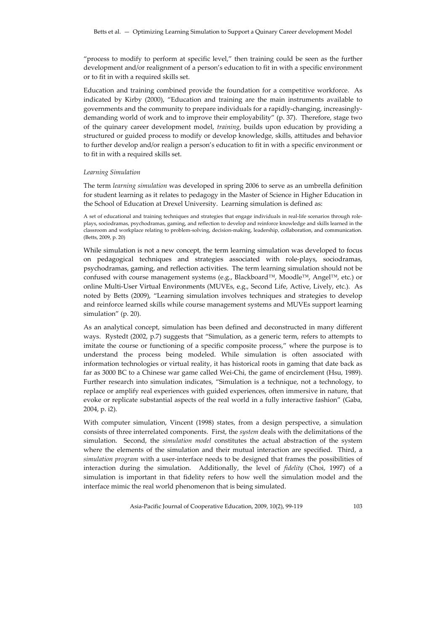"process to modify to perform at specific level," then training could be seen as the further development and/or realignment of a person's education to fit in with a specific environment or to fit in with a required skills set.

Education and training combined provide the foundation for a competitive workforce. As indicated by Kirby (2000), "Education and training are the main instruments available to governments and the community to prepare individuals for a rapidly‐changing, increasingly‐ demanding world of work and to improve their employability" (p. 37). Therefore, stage two of the quinary career development model, *training*, builds upon education by providing a structured or guided process to modify or develop knowledge, skills, attitudes and behavior to further develop and/or realign a person's education to fit in with a specific environment or to fit in with a required skills set.

#### *Learning Simulation*

The term *learning simulation* was developed in spring 2006 to serve as an umbrella definition for student learning as it relates to pedagogy in the Master of Science in Higher Education in the School of Education at Drexel University. Learning simulation is defined as:

A set of educational and training techniques and strategies that engage individuals in real‐life scenarios through role‐ plays, sociodramas, psychodramas, gaming, and reflection to develop and reinforce knowledge and skills learned in the classroom and workplace relating to problem‐solving, decision‐making, leadership, collaboration, and communication. (Betts, 2009, p. 20)

While simulation is not a new concept, the term learning simulation was developed to focus on pedagogical techniques and strategies associated with role‐plays, sociodramas, psychodramas, gaming, and reflection activities. The term learning simulation should not be confused with course management systems (e.g., Blackboard™, Moodle™, Angel™, etc.) or online Multi‐User Virtual Environments (MUVEs, e.g., Second Life, Active, Lively, etc.). As noted by Betts (2009), "Learning simulation involves techniques and strategies to develop and reinforce learned skills while course management systems and MUVEs support learning simulation" (p. 20).

As an analytical concept, simulation has been defined and deconstructed in many different ways. Rystedt (2002, p.7) suggests that "Simulation, as a generic term, refers to attempts to imitate the course or functioning of a specific composite process," where the purpose is to understand the process being modeled. While simulation is often associated with information technologies or virtual reality, it has historical roots in gaming that date back as far as 3000 BC to a Chinese war game called Wei-Chi, the game of encirclement (Hsu, 1989). Further research into simulation indicates, "Simulation is a technique, not a technology, to replace or amplify real experiences with guided experiences, often immersive in nature, that evoke or replicate substantial aspects of the real world in a fully interactive fashion" (Gaba, 2004, p. i2).

With computer simulation, Vincent (1998) states, from a design perspective, a simulation consists of three interrelated components. First, the *system* deals with the delimitations of the simulation. Second, the *simulation model* constitutes the actual abstraction of the system where the elements of the simulation and their mutual interaction are specified. Third, a *simulation program* with a user‐interface needs to be designed that frames the possibilities of interaction during the simulation. Additionally, the level of *fidelity* (Choi, 1997) of a simulation is important in that fidelity refers to how well the simulation model and the interface mimic the real world phenomenon that is being simulated.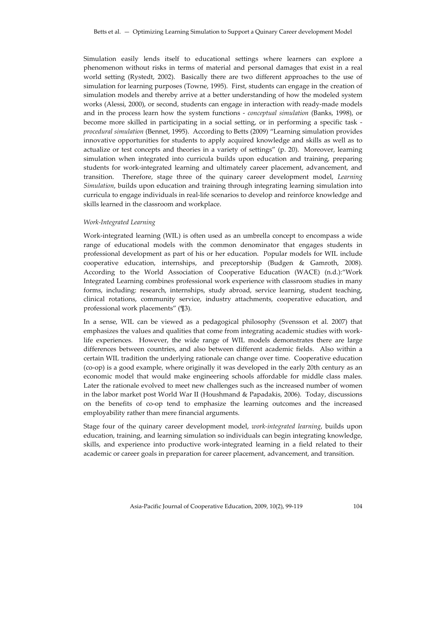Simulation easily lends itself to educational settings where learners can explore a phenomenon without risks in terms of material and personal damages that exist in a real world setting (Rystedt, 2002). Basically there are two different approaches to the use of simulation for learning purposes (Towne, 1995). First, students can engage in the creation of simulation models and thereby arrive at a better understanding of how the modeled system works (Alessi, 2000), or second, students can engage in interaction with ready-made models and in the process learn how the system functions ‐ *conceptual simulation* (Banks, 1998), or become more skilled in participating in a social setting, or in performing a specific task ‐ *procedural simulation* (Bennet, 1995). According to Betts (2009) "Learning simulation provides innovative opportunities for students to apply acquired knowledge and skills as well as to actualize or test concepts and theories in a variety of settings" (p. 20). Moreover, learning simulation when integrated into curricula builds upon education and training, preparing students for work‐integrated learning and ultimately career placement, advancement, and transition. Therefore, stage three of the quinary career development model, *Learning Simulation*, builds upon education and training through integrating learning simulation into curricula to engage individuals in real-life scenarios to develop and reinforce knowledge and skills learned in the classroom and workplace.

#### *Work‐Integrated Learning*

Work-integrated learning (WIL) is often used as an umbrella concept to encompass a wide range of educational models with the common denominator that engages students in professional development as part of his or her education. Popular models for WIL include cooperative education, internships, and preceptorship (Budgen & Gamroth, 2008). According to the World Association of Cooperative Education (WACE) (n.d.):"Work Integrated Learning combines professional work experience with classroom studies in many forms, including: research, internships, study abroad, service learning, student teaching, clinical rotations, community service, industry attachments, cooperative education, and professional work placements" (¶3).

In a sense, WIL can be viewed as a pedagogical philosophy (Svensson et al. 2007) that emphasizes the values and qualities that come from integrating academic studies with work‐ life experiences. However, the wide range of WIL models demonstrates there are large differences between countries, and also between different academic fields. Also within a certain WIL tradition the underlying rationale can change over time. Cooperative education (co‐op) is a good example, where originally it was developed in the early 20th century as an economic model that would make engineering schools affordable for middle class males. Later the rationale evolved to meet new challenges such as the increased number of women in the labor market post World War II (Houshmand & Papadakis, 2006). Today, discussions on the benefits of co‐op tend to emphasize the learning outcomes and the increased employability rather than mere financial arguments.

Stage four of the quinary career development model, *work‐integrated learning*, builds upon education, training, and learning simulation so individuals can begin integrating knowledge, skills, and experience into productive work‐integrated learning in a field related to their academic or career goals in preparation for career placement, advancement, and transition.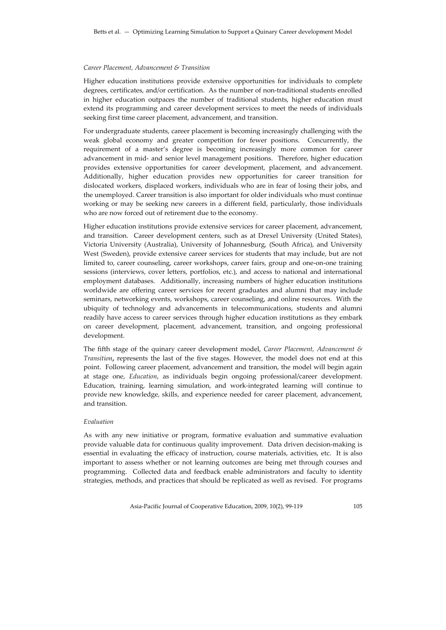#### *Career Placement, Advancement & Transition*

Higher education institutions provide extensive opportunities for individuals to complete degrees, certificates, and/or certification. As the number of non-traditional students enrolled in higher education outpaces the number of traditional students, higher education must extend its programming and career development services to meet the needs of individuals seeking first time career placement, advancement, and transition.

For undergraduate students, career placement is becoming increasingly challenging with the weak global economy and greater competition for fewer positions. Concurrently, the requirement of a master's degree is becoming increasingly more common for career advancement in mid‐ and senior level management positions. Therefore, higher education provides extensive opportunities for career development, placement, and advancement. Additionally, higher education provides new opportunities for career transition for dislocated workers, displaced workers, individuals who are in fear of losing their jobs, and the unemployed. Career transition is also important for older individuals who must continue working or may be seeking new careers in a different field, particularly, those individuals who are now forced out of retirement due to the economy.

Higher education institutions provide extensive services for career placement, advancement, and transition. Career development centers, such as at Drexel University (United States), Victoria University (Australia), University of Johannesburg, (South Africa), and University West (Sweden), provide extensive career services for students that may include, but are not limited to, career counseling, career workshops, career fairs, group and one‐on‐one training sessions (interviews, cover letters, portfolios, etc.), and access to national and international employment databases. Additionally, increasing numbers of higher education institutions worldwide are offering career services for recent graduates and alumni that may include seminars, networking events, workshops, career counseling, and online resources. With the ubiquity of technology and advancements in telecommunications, students and alumni readily have access to career services through higher education institutions as they embark on career development, placement, advancement, transition, and ongoing professional development.

The fifth stage of the quinary career development model, *Career Placement, Advancement & Transition***,** represents the last of the five stages. However, the model does not end at this point. Following career placement, advancement and transition, the model will begin again at stage one, *Education*, as individuals begin ongoing professional/career development. Education, training, learning simulation, and work‐integrated learning will continue to provide new knowledge, skills, and experience needed for career placement, advancement, and transition.

## *Evaluation*

As with any new initiative or program, formative evaluation and summative evaluation provide valuable data for continuous quality improvement. Data driven decision-making is essential in evaluating the efficacy of instruction, course materials, activities, etc. It is also important to assess whether or not learning outcomes are being met through courses and programming. Collected data and feedback enable administrators and faculty to identity strategies, methods, and practices that should be replicated as well as revised. For programs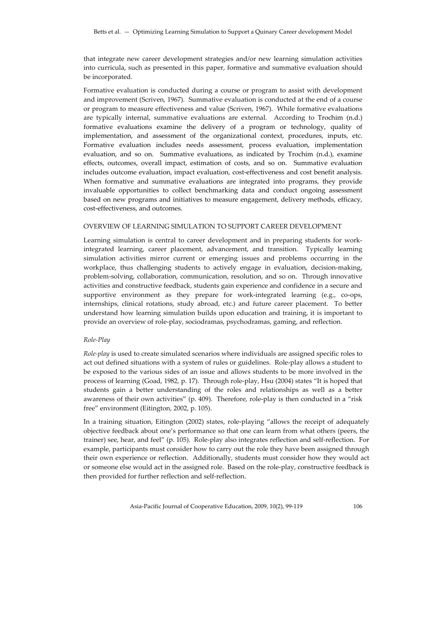that integrate new career development strategies and/or new learning simulation activities into curricula, such as presented in this paper, formative and summative evaluation should be incorporated.

Formative evaluation is conducted during a course or program to assist with development and improvement (Scriven, 1967). Summative evaluation is conducted at the end of a course or program to measure effectiveness and value (Scriven, 1967). While formative evaluations are typically internal, summative evaluations are external. According to Trochim (n.d.) formative evaluations examine the delivery of a program or technology, quality of implementation, and assessment of the organizational context, procedures, inputs, etc. Formative evaluation includes needs assessment, process evaluation, implementation evaluation, and so on. Summative evaluations, as indicated by Trochim (n.d.), examine effects, outcomes, overall impact, estimation of costs, and so on. Summative evaluation includes outcome evaluation, impact evaluation, cost-effectiveness and cost benefit analysis. When formative and summative evaluations are integrated into programs, they provide invaluable opportunities to collect benchmarking data and conduct ongoing assessment based on new programs and initiatives to measure engagement, delivery methods, efficacy, cost‐effectiveness, and outcomes.

## OVERVIEW OF LEARNING SIMULATION TO SUPPORT CAREER DEVELOPMENT

Learning simulation is central to career development and in preparing students for workintegrated learning, career placement, advancement, and transition. Typically learning simulation activities mirror current or emerging issues and problems occurring in the workplace, thus challenging students to actively engage in evaluation, decision-making, problem‐solving, collaboration, communication, resolution, and so on. Through innovative activities and constructive feedback, students gain experience and confidence in a secure and supportive environment as they prepare for work-integrated learning (e.g., co-ops, internships, clinical rotations, study abroad, etc.) and future career placement. To better understand how learning simulation builds upon education and training, it is important to provide an overview of role‐play, sociodramas, psychodramas, gaming, and reflection.

## *Role‐Play*

*Role‐play* is used to create simulated scenarios where individuals are assigned specific roles to act out defined situations with a system of rules or guidelines. Role‐play allows a student to be exposed to the various sides of an issue and allows students to be more involved in the process of learning (Goad, 1982, p. 17). Through role‐play, Hsu (2004) states "It is hoped that students gain a better understanding of the roles and relationships as well as a better awareness of their own activities" (p. 409). Therefore, role‐play is then conducted in a "risk free" environment (Eitington, 2002, p. 105).

In a training situation, Eitington (2002) states, role‐playing "allows the receipt of adequately objective feedback about one's performance so that one can learn from what others (peers, the trainer) see, hear, and feel" (p. 105). Role‐play also integrates reflection and self‐reflection. For example, participants must consider how to carry out the role they have been assigned through their own experience or reflection. Additionally, students must consider how they would act or someone else would act in the assigned role. Based on the role‐play, constructive feedback is then provided for further reflection and self‐reflection.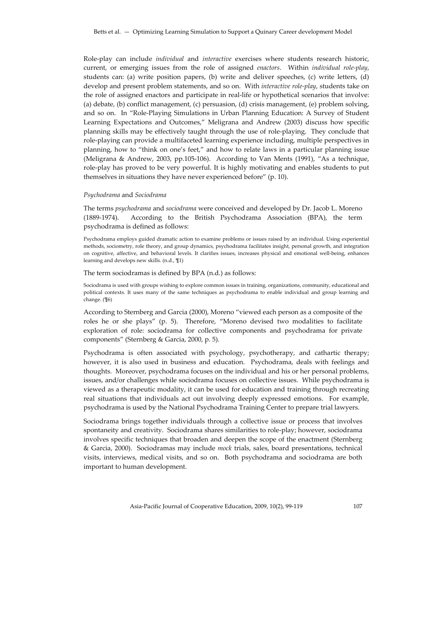Role‐play can include *individual* and *interactive* exercises where students research historic, current, or emerging issues from the role of assigned *enactors*. Within *individual role‐play*, students can: (a) write position papers, (b) write and deliver speeches, (c) write letters, (d) develop and present problem statements, and so on. With *interactive role‐play*, students take on the role of assigned enactors and participate in real‐life or hypothetical scenarios that involve: (a) debate, (b) conflict management, (c) persuasion, (d) crisis management, (e) problem solving, and so on. In "Role‐Playing Simulations in Urban Planning Education: A Survey of Student Learning Expectations and Outcomes," Meligrana and Andrew (2003) discuss how specific planning skills may be effectively taught through the use of role‐playing. They conclude that role‐playing can provide a multifaceted learning experience including, multiple perspectives in planning, how to "think on one's feet," and how to relate laws in a particular planning issue (Meligrana & Andrew, 2003, pp.105‐106). According to Van Ments (1991), "As a technique, role‐play has proved to be very powerful. It is highly motivating and enables students to put themselves in situations they have never experienced before" (p. 10).

#### *Psychodrama* and *Sociodrama*

The terms *psychodrama* and *sociodrama* were conceived and developed by Dr. Jacob L. Moreno (1889‐1974). According to the British Psychodrama Association (BPA), the term psychodrama is defined as follows:

Psychodrama employs guided dramatic action to examine problems or issues raised by an individual. Using experiential methods, sociometry, role theory, and group dynamics, psychodrama facilitates insight, personal growth, and integration on cognitive, affective, and behavioral levels. It clarifies issues, increases physical and emotional well‐being, enhances learning and develops new skills. (n.d., ¶1)

## The term sociodramas is defined by BPA (n.d.) as follows:

Sociodrama is used with groups wishing to explore common issues in training, organizations, community, educational and political contexts. It uses many of the same techniques as psychodrama to enable individual and group learning and change. (¶6)

According to Sternberg and Garcia (2000), Moreno "viewed each person as a composite of the roles he or she plays" (p. 5). Therefore, "Moreno devised two modalities to facilitate exploration of role: sociodrama for collective components and psychodrama for private components" (Sternberg & Garcia, 2000, p. 5).

Psychodrama is often associated with psychology, psychotherapy, and cathartic therapy; however, it is also used in business and education. Psychodrama, deals with feelings and thoughts. Moreover, psychodrama focuses on the individual and his or her personal problems, issues, and/or challenges while sociodrama focuses on collective issues. While psychodrama is viewed as a therapeutic modality, it can be used for education and training through recreating real situations that individuals act out involving deeply expressed emotions. For example, psychodrama is used by the National Psychodrama Training Center to prepare trial lawyers.

Sociodrama brings together individuals through a collective issue or process that involves spontaneity and creativity. Sociodrama shares similarities to role-play; however, sociodrama involves specific techniques that broaden and deepen the scope of the enactment (Sternberg & Garcia, 2000). Sociodramas may include *mock* trials, sales, board presentations, technical visits, interviews, medical visits, and so on. Both psychodrama and sociodrama are both important to human development.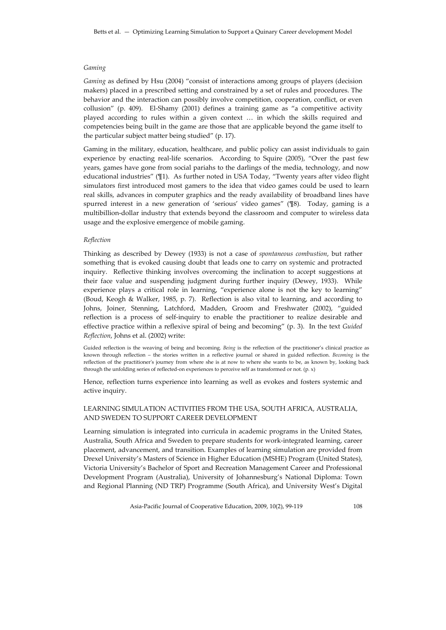#### *Gaming*

*Gaming* as defined by Hsu (2004) "consist of interactions among groups of players (decision makers) placed in a prescribed setting and constrained by a set of rules and procedures. The behavior and the interaction can possibly involve competition, cooperation, conflict, or even collusion" (p. 409). El‐Shamy (2001) defines a training game as "a competitive activity played according to rules within a given context … in which the skills required and competencies being built in the game are those that are applicable beyond the game itself to the particular subject matter being studied" (p. 17).

Gaming in the military, education, healthcare, and public policy can assist individuals to gain experience by enacting real-life scenarios. According to Squire (2005), "Over the past few years, games have gone from social pariahs to the darlings of the media, technology, and now educational industries" (¶1). As further noted in USA Today, "Twenty years after video flight simulators first introduced most gamers to the idea that video games could be used to learn real skills, advances in computer graphics and the ready availability of broadband lines have spurred interest in a new generation of 'serious' video games" (¶8). Today, gaming is a multibillion‐dollar industry that extends beyond the classroom and computer to wireless data usage and the explosive emergence of mobile gaming.

## *Reflection*

Thinking as described by Dewey (1933) is not a case of *spontaneous combustion*, but rather something that is evoked causing doubt that leads one to carry on systemic and protracted inquiry. Reflective thinking involves overcoming the inclination to accept suggestions at their face value and suspending judgment during further inquiry (Dewey, 1933). While experience plays a critical role in learning, "experience alone is not the key to learning" (Boud, Keogh & Walker, 1985, p. 7). Reflection is also vital to learning, and according to Johns, Joiner, Stenning, Latchford, Madden, Groom and Freshwater (2002), "guided reflection is a process of self‐inquiry to enable the practitioner to realize desirable and effective practice within a reflexive spiral of being and becoming" (p. 3). In the text *Guided Reflection*, Johns et al. (2002) write:

Guided reflection is the weaving of being and becoming. *Being* is the reflection of the practitioner's clinical practice as known through reflection – the stories written in a reflective journal or shared in guided reflection. *Becoming* is the reflection of the practitioner's journey from where she is at now to where she wants to be, as known by, looking back through the unfolding series of reflected-on experiences to perceive self as transformed or not. (p. x)

Hence, reflection turns experience into learning as well as evokes and fosters systemic and active inquiry.

## LEARNING SIMULATION ACTIVITIES FROM THE USA, SOUTH AFRICA, AUSTRALIA, AND SWEDEN TO SUPPORT CAREER DEVELOPMENT

Learning simulation is integrated into curricula in academic programs in the United States, Australia, South Africa and Sweden to prepare students for work‐integrated learning, career placement, advancement, and transition. Examples of learning simulation are provided from Drexel University's Masters of Science in Higher Education (MSHE) Program (United States), Victoria University's Bachelor of Sport and Recreation Management Career and Professional Development Program (Australia), University of Johannesburg's National Diploma: Town and Regional Planning (ND TRP) Programme (South Africa), and University West's Digital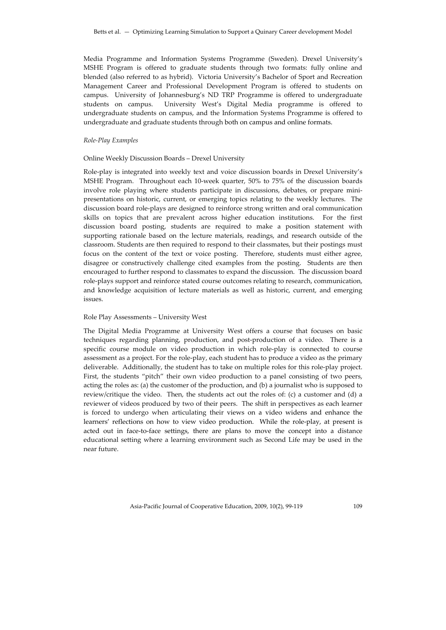Media Programme and Information Systems Programme (Sweden). Drexel University's MSHE Program is offered to graduate students through two formats: fully online and blended (also referred to as hybrid). Victoria University's Bachelor of Sport and Recreation Management Career and Professional Development Program is offered to students on campus. University of Johannesburg's ND TRP Programme is offered to undergraduate students on campus. University West's Digital Media programme is offered to undergraduate students on campus, and the Information Systems Programme is offered to undergraduate and graduate students through both on campus and online formats.

#### *Role‐Play Examples*

#### Online Weekly Discussion Boards – Drexel University

Role‐play is integrated into weekly text and voice discussion boards in Drexel University's MSHE Program. Throughout each 10-week quarter, 50% to 75% of the discussion boards involve role playing where students participate in discussions, debates, or prepare mini‐ presentations on historic, current, or emerging topics relating to the weekly lectures. The discussion board role‐plays are designed to reinforce strong written and oral communication skills on topics that are prevalent across higher education institutions. For the first discussion board posting, students are required to make a position statement with supporting rationale based on the lecture materials, readings, and research outside of the classroom. Students are then required to respond to their classmates, but their postings must focus on the content of the text or voice posting. Therefore, students must either agree, disagree or constructively challenge cited examples from the posting. Students are then encouraged to further respond to classmates to expand the discussion. The discussion board role‐plays support and reinforce stated course outcomes relating to research, communication, and knowledge acquisition of lecture materials as well as historic, current, and emerging issues.

## Role Play Assessments – University West

The Digital Media Programme at University West offers a course that focuses on basic techniques regarding planning, production, and post‐production of a video. There is a specific course module on video production in which role‐play is connected to course assessment as a project. For the role‐play, each student has to produce a video as the primary deliverable. Additionally, the student has to take on multiple roles for this role‐play project. First, the students "pitch" their own video production to a panel consisting of two peers, acting the roles as: (a) the customer of the production, and (b) a journalist who is supposed to review/critique the video. Then, the students act out the roles of: (c) a customer and (d) a reviewer of videos produced by two of their peers. The shift in perspectives as each learner is forced to undergo when articulating their views on a video widens and enhance the learners' reflections on how to view video production. While the role‐play, at present is acted out in face‐to‐face settings, there are plans to move the concept into a distance educational setting where a learning environment such as Second Life may be used in the near future.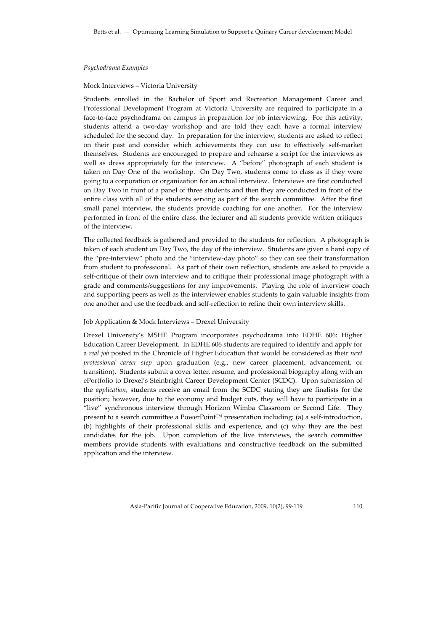#### *Psychodrama Examples*

## Mock Interviews – Victoria University

Students enrolled in the Bachelor of Sport and Recreation Management Career and Professional Development Program at Victoria University are required to participate in a face-to-face psychodrama on campus in preparation for job interviewing. For this activity, students attend a two‐day workshop and are told they each have a formal interview scheduled for the second day. In preparation for the interview, students are asked to reflect on their past and consider which achievements they can use to effectively self‐market themselves. Students are encouraged to prepare and rehearse a script for the interviews as well as dress appropriately for the interview. A "before" photograph of each student is taken on Day One of the workshop. On Day Two, students come to class as if they were going to a corporation or organization for an actual interview. Interviews are first conducted on Day Two in front of a panel of three students and then they are conducted in front of the entire class with all of the students serving as part of the search committee. After the first small panel interview, the students provide coaching for one another. For the interview performed in front of the entire class, the lecturer and all students provide written critiques of the interview**.**

The collected feedback is gathered and provided to the students for reflection. A photograph is taken of each student on Day Two, the day of the interview. Students are given a hard copy of the "pre‐interview" photo and the "interview‐day photo" so they can see their transformation from student to professional. As part of their own reflection, students are asked to provide a self‐critique of their own interview and to critique their professional image photograph with a grade and comments/suggestions for any improvements. Playing the role of interview coach and supporting peers as well as the interviewer enables students to gain valuable insights from one another and use the feedback and self‐reflection to refine their own interview skills.

#### Job Application & Mock Interviews – Drexel University

Drexel University's MSHE Program incorporates psychodrama into EDHE 606: Higher Education Career Development. In EDHE 606 students are required to identify and apply for a *real job* posted in the Chronicle of Higher Education that would be considered as their *next professional career step* upon graduation (e.g., new career placement, advancement, or transition). Students submit a cover letter, resume, and professional biography along with an ePortfolio to Drexel's Steinbright Career Development Center (SCDC). Upon submission of the *application*, students receive an email from the SCDC stating they are finalists for the position; however, due to the economy and budget cuts, they will have to participate in a "live" synchronous interview through Horizon Wimba Classroom or Second Life. They present to a search committee a PowerPoint™ presentation including: (a) a self-introduction, (b) highlights of their professional skills and experience, and (c) why they are the best candidates for the job. Upon completion of the live interviews, the search committee members provide students with evaluations and constructive feedback on the submitted application and the interview.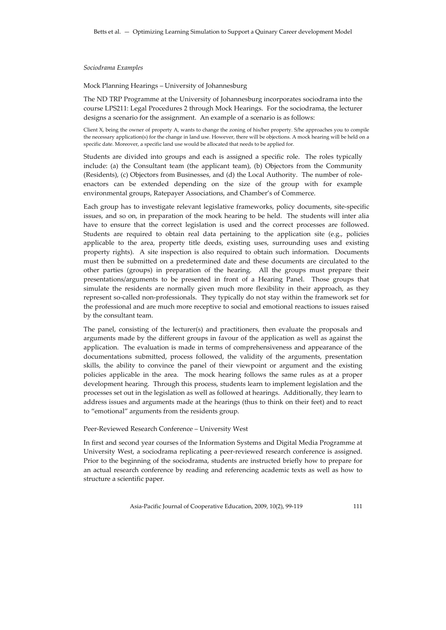#### *Sociodrama Examples*

Mock Planning Hearings – University of Johannesburg

The ND TRP Programme at the University of Johannesburg incorporates sociodrama into the course LPS211: Legal Procedures 2 through Mock Hearings. For the sociodrama, the lecturer designs a scenario for the assignment. An example of a scenario is as follows:

Client X, being the owner of property A, wants to change the zoning of his/her property. S/he approaches you to compile the necessary application(s) for the change in land use. However, there will be objections. A mock hearing will be held on a specific date. Moreover, a specific land use would be allocated that needs to be applied for.

Students are divided into groups and each is assigned a specific role. The roles typically include: (a) the Consultant team (the applicant team), (b) Objectors from the Community (Residents), (c) Objectors from Businesses, and (d) the Local Authority. The number of role‐ enactors can be extended depending on the size of the group with for example environmental groups, Ratepayer Associations, and Chamber's of Commerce.

Each group has to investigate relevant legislative frameworks, policy documents, site‐specific issues, and so on, in preparation of the mock hearing to be held. The students will inter alia have to ensure that the correct legislation is used and the correct processes are followed. Students are required to obtain real data pertaining to the application site (e.g., policies applicable to the area, property title deeds, existing uses, surrounding uses and existing property rights). A site inspection is also required to obtain such information. Documents must then be submitted on a predetermined date and these documents are circulated to the other parties (groups) in preparation of the hearing. All the groups must prepare their presentations/arguments to be presented in front of a Hearing Panel. Those groups that simulate the residents are normally given much more flexibility in their approach, as they represent so‐called non‐professionals. They typically do not stay within the framework set for the professional and are much more receptive to social and emotional reactions to issues raised by the consultant team.

The panel, consisting of the lecturer(s) and practitioners, then evaluate the proposals and arguments made by the different groups in favour of the application as well as against the application. The evaluation is made in terms of comprehensiveness and appearance of the documentations submitted, process followed, the validity of the arguments, presentation skills, the ability to convince the panel of their viewpoint or argument and the existing policies applicable in the area. The mock hearing follows the same rules as at a proper development hearing. Through this process, students learn to implement legislation and the processes set out in the legislation as well as followed at hearings. Additionally, they learn to address issues and arguments made at the hearings (thus to think on their feet) and to react to "emotional" arguments from the residents group.

## Peer‐Reviewed Research Conference – University West

In first and second year courses of the Information Systems and Digital Media Programme at University West, a sociodrama replicating a peer‐reviewed research conference is assigned. Prior to the beginning of the sociodrama, students are instructed briefly how to prepare for an actual research conference by reading and referencing academic texts as well as how to structure a scientific paper.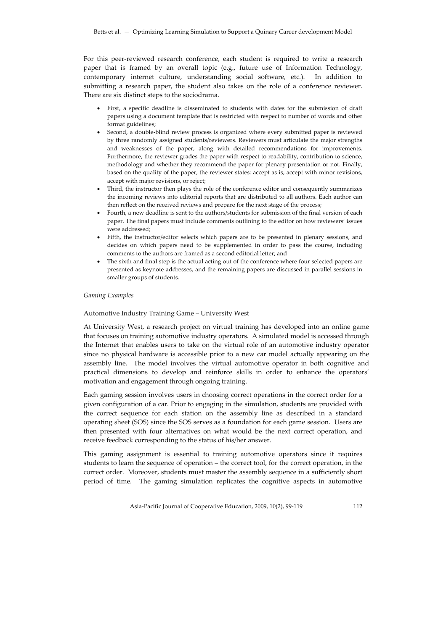For this peer-reviewed research conference, each student is required to write a research paper that is framed by an overall topic (e.g., future use of Information Technology, contemporary internet culture, understanding social software, etc.). In addition to submitting a research paper, the student also takes on the role of a conference reviewer. There are six distinct steps to the sociodrama.

- First, a specific deadline is disseminated to students with dates for the submission of draft papers using a document template that is restricted with respect to number of words and other format guidelines;
- Second, a double-blind review process is organized where every submitted paper is reviewed by three randomly assigned students/reviewers. Reviewers must articulate the major strengths and weaknesses of the paper, along with detailed recommendations for improvements. Furthermore, the reviewer grades the paper with respect to readability, contribution to science, methodology and whether they recommend the paper for plenary presentation or not. Finally, based on the quality of the paper, the reviewer states: accept as is, accept with minor revisions, accept with major revisions, or reject;
- Third, the instructor then plays the role of the conference editor and consequently summarizes the incoming reviews into editorial reports that are distributed to all authors. Each author can then reflect on the received reviews and prepare for the next stage of the process;
- Fourth, a new deadline is sent to the authors/students for submission of the final version of each paper. The final papers must include comments outlining to the editor on how reviewers' issues were addressed;
- Fifth, the instructor/editor selects which papers are to be presented in plenary sessions, and decides on which papers need to be supplemented in order to pass the course, including comments to the authors are framed as a second editorial letter; and
- The sixth and final step is the actual acting out of the conference where four selected papers are presented as keynote addresses, and the remaining papers are discussed in parallel sessions in smaller groups of students.

#### *Gaming Examples*

#### Automotive Industry Training Game – University West

At University West, a research project on virtual training has developed into an online game that focuses on training automotive industry operators. A simulated model is accessed through the Internet that enables users to take on the virtual role of an automotive industry operator since no physical hardware is accessible prior to a new car model actually appearing on the assembly line. The model involves the virtual automotive operator in both cognitive and practical dimensions to develop and reinforce skills in order to enhance the operators' motivation and engagement through ongoing training.

Each gaming session involves users in choosing correct operations in the correct order for a given configuration of a car. Prior to engaging in the simulation, students are provided with the correct sequence for each station on the assembly line as described in a standard operating sheet (SOS) since the SOS serves as a foundation for each game session. Users are then presented with four alternatives on what would be the next correct operation, and receive feedback corresponding to the status of his/her answer.

This gaming assignment is essential to training automotive operators since it requires students to learn the sequence of operation – the correct tool, for the correct operation, in the correct order. Moreover, students must master the assembly sequence in a sufficiently short period of time. The gaming simulation replicates the cognitive aspects in automotive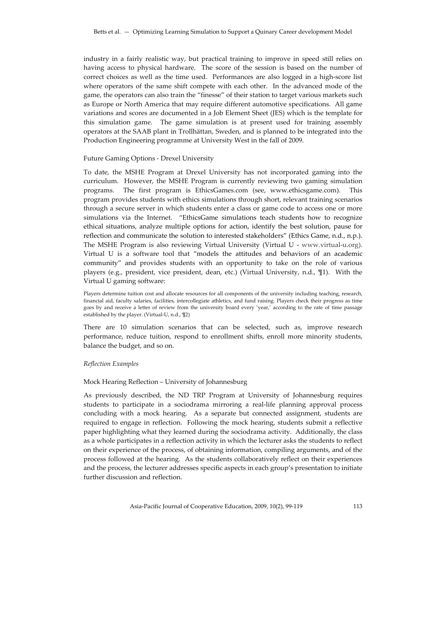industry in a fairly realistic way, but practical training to improve in speed still relies on having access to physical hardware. The score of the session is based on the number of correct choices as well as the time used. Performances are also logged in a high-score list where operators of the same shift compete with each other. In the advanced mode of the game, the operators can also train the "finesse" of their station to target various markets such as Europe or North America that may require different automotive specifications. All game variations and scores are documented in a Job Element Sheet (JES) which is the template for this simulation game. The game simulation is at present used for training assembly operators at the SAAB plant in Trollhättan, Sweden, and is planned to be integrated into the Production Engineering programme at University West in the fall of 2009.

## Future Gaming Options ‐ Drexel University

To date, the MSHE Program at Drexel University has not incorporated gaming into the curriculum. However, the MSHE Program is currently reviewing two gaming simulation programs. The first program is EthicsGames.com (see, www.ethicsgame.com). This program provides students with ethics simulations through short, relevant training scenarios through a secure server in which students enter a class or game code to access one or more simulations via the Internet. "EthicsGame simulations teach students how to recognize ethical situations, analyze multiple options for action, identify the best solution, pause for reflection and communicate the solution to interested stakeholders" (Ethics Game, n.d., n.p.). The MSHE Program is also reviewing Virtual University (Virtual U - www.virtual-u.org). Virtual U is a software tool that "models the attitudes and behaviors of an academic community" and provides students with an opportunity to take on the role of various players (e.g., president, vice president, dean, etc.) (Virtual University, n.d., ¶1). With the Virtual U gaming software:

Players determine tuition cost and allocate resources for all components of the university including teaching, research, financial aid, faculty salaries, facilities, intercollegiate athletics, and fund raising. Players check their progress as time goes by and receive a letter of review from the university board every 'year,' according to the rate of time passage established by the player. (Virtual‐U, n.d., ¶2)

There are 10 simulation scenarios that can be selected, such as, improve research performance, reduce tuition, respond to enrollment shifts, enroll more minority students, balance the budget, and so on.

## *Reflection Examples*

## Mock Hearing Reflection – University of Johannesburg

As previously described, the ND TRP Program at University of Johannesburg requires students to participate in a sociodrama mirroring a real‐life planning approval process concluding with a mock hearing. As a separate but connected assignment, students are required to engage in reflection. Following the mock hearing, students submit a reflective paper highlighting what they learned during the sociodrama activity. Additionally, the class as a whole participates in a reflection activity in which the lecturer asks the students to reflect on their experience of the process, of obtaining information, compiling arguments, and of the process followed at the hearing. As the students collaboratively reflect on their experiences and the process, the lecturer addresses specific aspects in each group's presentation to initiate further discussion and reflection.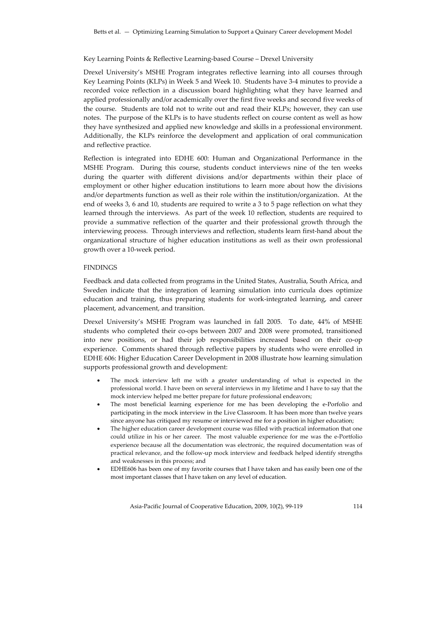Key Learning Points & Reflective Learning-based Course – Drexel University

Drexel University's MSHE Program integrates reflective learning into all courses through Key Learning Points (KLPs) in Week 5 and Week 10. Students have 3‐4 minutes to provide a recorded voice reflection in a discussion board highlighting what they have learned and applied professionally and/or academically over the first five weeks and second five weeks of the course. Students are told not to write out and read their KLPs; however, they can use notes. The purpose of the KLPs is to have students reflect on course content as well as how they have synthesized and applied new knowledge and skills in a professional environment. Additionally, the KLPs reinforce the development and application of oral communication and reflective practice.

Reflection is integrated into EDHE 600: Human and Organizational Performance in the MSHE Program. During this course, students conduct interviews nine of the ten weeks during the quarter with different divisions and/or departments within their place of employment or other higher education institutions to learn more about how the divisions and/or departments function as well as their role within the institution/organization. At the end of weeks 3, 6 and 10, students are required to write a 3 to 5 page reflection on what they learned through the interviews. As part of the week 10 reflection, students are required to provide a summative reflection of the quarter and their professional growth through the interviewing process. Through interviews and reflection, students learn first-hand about the organizational structure of higher education institutions as well as their own professional growth over a 10‐week period.

## FINDINGS

Feedback and data collected from programs in the United States, Australia, South Africa, and Sweden indicate that the integration of learning simulation into curricula does optimize education and training, thus preparing students for work‐integrated learning, and career placement, advancement, and transition.

Drexel University's MSHE Program was launched in fall 2005. To date, 44% of MSHE students who completed their co-ops between 2007 and 2008 were promoted, transitioned into new positions, or had their job responsibilities increased based on their co‐op experience. Comments shared through reflective papers by students who were enrolled in EDHE 606: Higher Education Career Development in 2008 illustrate how learning simulation supports professional growth and development:

- The mock interview left me with a greater understanding of what is expected in the professional world. I have been on several interviews in my lifetime and I have to say that the mock interview helped me better prepare for future professional endeavors;
- The most beneficial learning experience for me has been developing the e-Porfolio and participating in the mock interview in the Live Classroom. It has been more than twelve years since anyone has critiqued my resume or interviewed me for a position in higher education;
- The higher education career development course was filled with practical information that one could utilize in his or her career. The most valuable experience for me was the e‐Portfolio experience because all the documentation was electronic, the required documentation was of practical relevance, and the follow‐up mock interview and feedback helped identify strengths and weaknesses in this process; and
- EDHE606 has been one of my favorite courses that I have taken and has easily been one of the most important classes that I have taken on any level of education.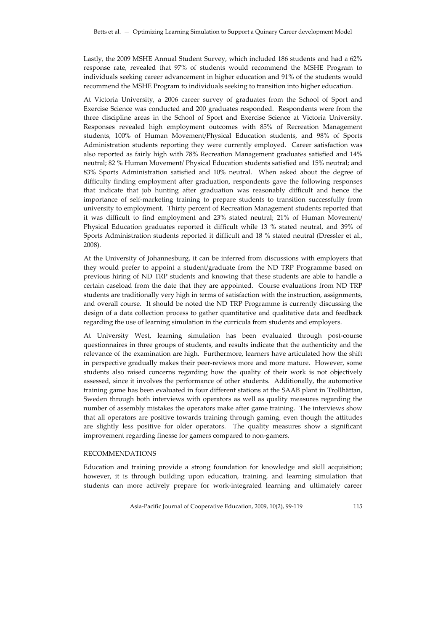Lastly, the 2009 MSHE Annual Student Survey, which included 186 students and had a 62% response rate, revealed that 97% of students would recommend the MSHE Program to individuals seeking career advancement in higher education and 91% of the students would recommend the MSHE Program to individuals seeking to transition into higher education.

At Victoria University, a 2006 career survey of graduates from the School of Sport and Exercise Science was conducted and 200 graduates responded. Respondents were from the three discipline areas in the School of Sport and Exercise Science at Victoria University. Responses revealed high employment outcomes with 85% of Recreation Management students, 100% of Human Movement/Physical Education students, and 98% of Sports Administration students reporting they were currently employed. Career satisfaction was also reported as fairly high with 78% Recreation Management graduates satisfied and 14% neutral; 82 % Human Movement/ Physical Education students satisfied and 15% neutral; and 83% Sports Administration satisfied and 10% neutral. When asked about the degree of difficulty finding employment after graduation, respondents gave the following responses that indicate that job hunting after graduation was reasonably difficult and hence the importance of self-marketing training to prepare students to transition successfully from university to employment. Thirty percent of Recreation Management students reported that it was difficult to find employment and 23% stated neutral; 21% of Human Movement/ Physical Education graduates reported it difficult while 13 % stated neutral, and 39% of Sports Administration students reported it difficult and 18 % stated neutral (Dressler et al., 2008).

At the University of Johannesburg, it can be inferred from discussions with employers that they would prefer to appoint a student/graduate from the ND TRP Programme based on previous hiring of ND TRP students and knowing that these students are able to handle a certain caseload from the date that they are appointed. Course evaluations from ND TRP students are traditionally very high in terms of satisfaction with the instruction, assignments, and overall course. It should be noted the ND TRP Programme is currently discussing the design of a data collection process to gather quantitative and qualitative data and feedback regarding the use of learning simulation in the curricula from students and employers.

At University West, learning simulation has been evaluated through post-course questionnaires in three groups of students, and results indicate that the authenticity and the relevance of the examination are high. Furthermore, learners have articulated how the shift in perspective gradually makes their peer-reviews more and more mature. However, some students also raised concerns regarding how the quality of their work is not objectively assessed, since it involves the performance of other students. Additionally, the automotive training game has been evaluated in four different stations at the SAAB plant in Trollhättan, Sweden through both interviews with operators as well as quality measures regarding the number of assembly mistakes the operators make after game training. The interviews show that all operators are positive towards training through gaming, even though the attitudes are slightly less positive for older operators. The quality measures show a significant improvement regarding finesse for gamers compared to non‐gamers.

## RECOMMENDATIONS

Education and training provide a strong foundation for knowledge and skill acquisition; however, it is through building upon education, training, and learning simulation that students can more actively prepare for work‐integrated learning and ultimately career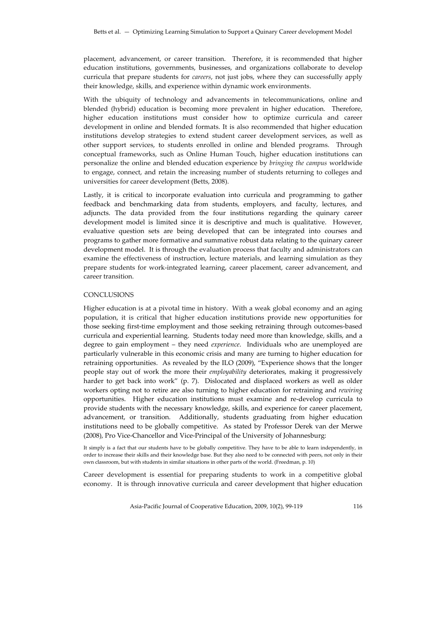placement, advancement, or career transition. Therefore, it is recommended that higher education institutions, governments, businesses, and organizations collaborate to develop curricula that prepare students for *careers*, not just jobs, where they can successfully apply their knowledge, skills, and experience within dynamic work environments.

With the ubiquity of technology and advancements in telecommunications, online and blended (hybrid) education is becoming more prevalent in higher education. Therefore, higher education institutions must consider how to optimize curricula and career development in online and blended formats. It is also recommended that higher education institutions develop strategies to extend student career development services, as well as other support services, to students enrolled in online and blended programs. Through conceptual frameworks, such as Online Human Touch, higher education institutions can personalize the online and blended education experience by *bringing the campus* worldwide to engage, connect, and retain the increasing number of students returning to colleges and universities for career development (Betts, 2008).

Lastly, it is critical to incorporate evaluation into curricula and programming to gather feedback and benchmarking data from students, employers, and faculty, lectures, and adjuncts. The data provided from the four institutions regarding the quinary career development model is limited since it is descriptive and much is qualitative. However, evaluative question sets are being developed that can be integrated into courses and programs to gather more formative and summative robust data relating to the quinary career development model. It is through the evaluation process that faculty and administrators can examine the effectiveness of instruction, lecture materials, and learning simulation as they prepare students for work‐integrated learning, career placement, career advancement, and career transition.

### **CONCLUSIONS**

Higher education is at a pivotal time in history. With a weak global economy and an aging population, it is critical that higher education institutions provide new opportunities for those seeking first-time employment and those seeking retraining through outcomes-based curricula and experiential learning. Students today need more than knowledge, skills, and a degree to gain employment – they need *experience*. Individuals who are unemployed are particularly vulnerable in this economic crisis and many are turning to higher education for retraining opportunities. As revealed by the ILO (2009), "Experience shows that the longer people stay out of work the more their *employability* deteriorates, making it progressively harder to get back into work" (p. 7). Dislocated and displaced workers as well as older workers opting not to retire are also turning to higher education for retraining and *rewiring* opportunities. Higher education institutions must examine and re‐develop curricula to provide students with the necessary knowledge, skills, and experience for career placement, advancement, or transition. Additionally, students graduating from higher education institutions need to be globally competitive. As stated by Professor Derek van der Merwe (2008), Pro Vice‐Chancellor and Vice‐Principal of the University of Johannesburg:

It simply is a fact that our students have to be globally competitive. They have to be able to learn independently, in order to increase their skills and their knowledge base. But they also need to be connected with peers, not only in their own classroom, but with students in similar situations in other parts of the world. (Freedman, p. 10)

Career development is essential for preparing students to work in a competitive global economy. It is through innovative curricula and career development that higher education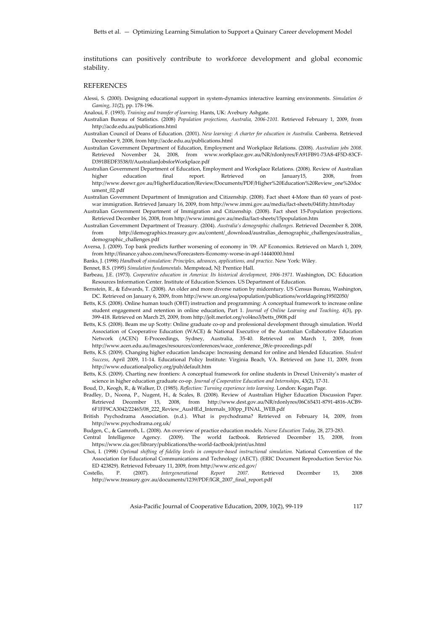institutions can positively contribute to workforce development and global economic stability.

#### **REFERENCES**

- Alessi, S. (2000). Designing educational support in system‐dynamics interactive learning environments. *Simulation & Gaming*, *31*(2), pp. 178‐196.
- Analoui, F. (1993). *Training and transfer of learning.* Hants, UK: Avebury Ashgate.
- Australian Bureau of Statistics. (2008) *Population projections, Australia, 2006‐2101.* Retrieved February 1, 2009, from http://acde.edu.au/publications.html
- Australian Council of Deans of Education. (2001). *New learning: A charter for education in Australia.* Canberra. Retrieved December 9, 2008, from http://acde.edu.au/publications.html
- Australian Government Department of Education, Employment and Workplace Relations. (2008). *Australian jobs 2008.* Retrieved November 24, 2008, from www.workplace.gov.au/NR/rdonlyres/FA91FB91‐73A8‐4F5D‐83CF‐ D391BEDF3538/0/AustralianJobsforWorkplace.pdf
- Australian Government Department of Education, Employment and Workplace Relations. (2008). Review of Australian higher education final report*.* Retrieved on January15, 2008, from http://www.deewr.gov.au/HigherEducation/Review/Documents/PDF/Higher%20Education%20Review\_one%20doc ument\_02.pdf
- Australian Government Department of Immigration and Citizenship. (2008). Fact sheet 4-More than 60 years of postwar immigration. Retrieved January 16, 2009, from http://www.immi.gov.au/media/fact‐sheets/04fifty.htm#today
- Australian Government Department of Immigration and Citizenship. (2008). Fact sheet 15‐Population projections. Retrieved December 16, 2008, from http://www.immi.gov.au/media/fact‐sheets/15population.htm
- Australian Government Department of Treasury. (2004). *Australia's demographic challenges.* Retrieved December 8, 2008, from http://demographics.treasury.gov.au/content/\_download/australias\_demographic\_challenges/australias\_ demographic\_challenges.pdf
- Aversa, J. (2009). Top bank predicts further worsening of economy in '09. AP Economics. Retrieved on March 1, 2009, from http://finance.yahoo.com/news/Forecasters‐Economy‐worse‐in‐apf‐14440000.html
- Banks, J. (1998) *Handbook of simulation: Principles, advances, applications, and practice*. New York: Wiley.
- Bennet, B.S. (1995) *Simulation fundamentals*. Mempstead, NJ: Prentice Hall.
- Barbeau, J.E. (1973). *Cooperative education in America: Its historical development, 1906‐1971*. Washington, DC: Education Resources Information Center. Institute of Education Sciences. US Department of Education.
- Bernstein, R., & Edwards, T. (2008). An older and more diverse nation by midcentury. US Census Bureau, Washington, DC. Retrieved on January 6, 2009, from http://www.un.org/esa/population/publications/worldageing19502050/
- Betts, K.S. (2008). Online human touch (OHT) instruction and programming: A conceptual framework to increase online student engagement and retention in online education, Part 1. *Journal of Online Learning and Teaching, 4*(3), pp. 399‐418. Retrieved on March 25, 2009, from http://jolt.merlot.org/vol4no3/betts\_0908.pdf
- Betts, K.S. (2008). Beam me up Scotty: Online graduate co-op and professional development through simulation. World Association of Cooperative Education (WACE) & National Executive of the Australian Collaborative Education Network (ACEN) E‐Proceedings, Sydney, Australia, 35‐40. Retrieved on March 1, 2009, from http://www.acen.edu.au/images/resources/conferences/wace\_conference\_08/e‐proceedings.pdf
- Betts, K.S. (2009). Changing higher education landscape: Increasing demand for online and blended Education. *Student Success*, April 2009, 11‐14. Educational Policy Institute: Virginia Beach, VA. Retrieved on June 11, 2009, from http://www.educationalpolicy.org/pub/default.htm
- Betts, K.S. (2009). Charting new frontiers: A conceptual framework for online students in Drexel University's master of science in higher education graduate co‐op. *Journal of Cooperative Education and Internships*, 43(2), 17‐31.
- Boud, D., Keogh, R., & Walker, D. (1985). *Reflection: Turning experience into learning.* London: Kogan Page.
- Bradley, D., Noona, P., Nugent, H., & Scales, B. (2008). Review of Australian Higher Education Discussion Paper. Retrieved December 15, 2008, from http://www.dest.gov.au/NR/rdonlyres/06C65431-8791-4816-ACB9-6F1FF9CA3042/22465/08\_222\_Review\_AusHEd\_Internals\_100pp\_FINAL\_WEB.pdf
- British Psychodrama Association. (n.d.). What is psychodrama? Retrieved on February 14, 2009, from http://www.psychodrama.org.uk/
- Budgen, C., & Gamroth, L. (2008). An overview of practice education models. *Nurse Education Today*, 28, 273‐283.
- Central Intelligence Agency. (2009). The world factbook. Retrieved December 15, 2008, from https://www.cia.gov/library/publications/the‐world‐factbook/print/us.html
- Choi, I. (1998*) Optimal shifting of fidelity levels in computer‐based instructional simulation*. National Convention of the Association for Educational Communications and Technology (AECT). (ERIC Document Reproduction Service No. ED 423829). Retrieved February 11, 2009, from http://www.eric.ed.gov/
- Costello, P. (2007). *Intergenerational Report 2007.* Retrieved December 15, 2008 http://www.treasury.gov.au/documents/1239/PDF/IGR\_2007\_final\_report.pdf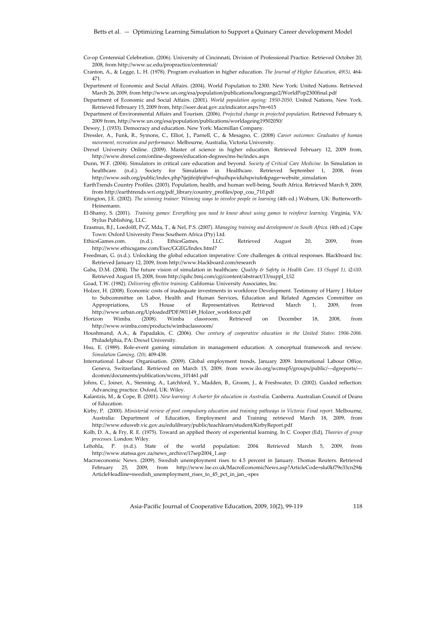Co‐op Centennial Celebration. (2006). University of Cincinnati, Division of Professional Practice. Retrieved October 20, 2008, from http://www.uc.edu/propractice/centennial/

Cranton, A., & Legge, L. H. (1978). Program evaluation in higher education. *The Journal of Higher Education*, *49(5),* 464‐ 471.

- Department of Economic and Social Affairs. (2004). World Population to 2300. New York: United Nations. Retrieved March 26, 2009, from http://www.un.org/esa/population/publications/longrange2/WorldPop2300final.pdf
- Department of Economic and Social Affairs. (2001). *World population ageing: 1950‐2050*. United Nations, New York. Retrieved February 15, 2009 from, http://soer.deat.gov.za/indicator.aspx?m=615
- Department of Environmental Affairs and Tourism. (2006). *Projected change in projected population*. Retrieved February 6, 2009 from, http://www.un.org/esa/population/publications/worldageing19502050/
- Dewey, J. (1933). Democracy and education. New York: Macmillan Company.
- Dressler, A., Funk, R., Symons, C., Elliot, J., Parnell, C., & Mesagno, C. (2008) *Career outcomes: Graduates of human movement, recreation and performance*. Melbourne, Australia, Victoria University.
- Drexel University Online. (2009). Master of science in higher education. Retrieved February 12, 2009 from, http://www.drexel.com/online‐degrees/education‐degrees/ms‐he/index.aspx
- Dunn, W.F. (2004). Simulators in critical care education and beyond. *Society of Critical Care Medicine*. In Simulation in healthcare. (n.d.). Society for Simulation in Healthcare. Retrieved September 1, 2008, from http://www.ssih.org/public/index.php?ijejifeijfeijfwf=qhuihqwiduhqwiufe&page=website\_simulation
- EarthTrends Country Profiles. (2003). Population, health, and human well‐being, South Africa. Retrieved March 9, 2009, from http://earthtrends.wri.org/pdf\_library/country\_profiles/pop\_cou\_710.pdf
- Eitington, J.E. (2002). *The winning trainer: Winning ways to involve people in learning* (4th ed.) Woburn, UK: Butterworth‐ Heinemann.
- El‐Shamy, S. (2001). *Training games: Everything you need to know about using games to reinforce learning.* Virginia, VA: Stylus Publishing, LLC.
- Erasmus, B.J., Loedolff, PvZ, Mda, T., & Nel, P.S. (2007). *Managing training and development in South Africa.* (4th ed.) Cape Town: Oxford University Press Southern Africa (Pty) Ltd.
- EthicsGames.com. (n.d.). EthicsGames, LLC. Retrieved August 20, 2009, from http://www.ethicsgame.com/Exec/GGEG/Index.html?
- Freedman, G. (n.d.). Unlocking the global education imperative: Core challenges & critical responses. Blackboard Inc. Retrieved January 12, 2009, from http://www.blackboard.com/research

Gaba, D.M. (2004). The future vision of simulation in healthcare. *Quality & Safety in Health Care*. *13 (Suppl 1),* i2‐i10. Retrieved August 15, 2008, from http://qshc.bmj.com/cgi/content/abstract/13/suppl\_1/i2

Goad, T.W. (1982). *Delivering effective training.* California: University Associates, Inc.

Holzer, H. (2008). Economic costs of inadequate investments in workforce Development. Testimony of Harry J. Holzer to Subcommittee on Labor, Health and Human Services, Education and Related Agencies Committee on Appropriations, US House of Representatives. Retrieved March 1, 2009, from http://www.urban.org/UploadedPDF/901149\_Holzer\_workforce.pdf

Horizon Wimba. (2008). Wimba classroom. Retrieved on December 18, 2008, from http://www.wimba.com/products/wimbaclassroom/

- Houshmand, A.A., & Papadakis, C. (2006). *One century of cooperative education in the United States*: *1906‐2006*. Philadelphia, PA: Drexel University.
- Hsu, E. (1989). Role-event gaming simulation in management education: A conceptual framework and review. *Simulation Gaming, (20),* 409‐438.
- International Labour Organisation. (2009). Global employment trends, January 2009. International Labour Office, Geneva, Switzerland. Retrieved on March 15, 2009, from www.ilo.org/wcmsp5/groups/public/‐‐‐dgreports/‐‐‐ dcomm/documents/publication/wcms\_101461.pdf
- Johns, C., Joiner, A., Stenning, A., Latchford, Y., Madden, B., Groom, J., & Freshwater, D. (2002). Guided reflection: Advancing practice. Oxford, UK: Wiley.
- Kalantzis, M., & Cope, B. (2001). *New learning: A charter for education in Australia.* Canberra. Australian Council of Deans of Education.
- Kirby, P. (2000). *Ministerial review of post compulsory education and training pathways in Victoria: Final report.* Melbourne, Australia: Department of Education, Employment and Training retrieved March 18, 2009, from http://www.eduweb.vic.gov.au/edulibrary/public/teachlearn/student/KirbyReport.pdf
- Kolb, D. A., & Fry, R. E. (1975). Toward an applied theory of experiential learning. In C. Cooper (Ed), *Theories of group processes.* London: Wiley.
- Lehohla, P. (n.d.). State of the world population: 2004*.* Retrieved March 5, 2009, from http://www.statssa.gov.za/news\_archive/17sep2004\_1.asp
- Macroeconomic News. (2009). Swedish unemployment rises to 4.5 percent in January. Thomas Reuters. Retrieved February 25, 2009, from http://www.lse.co.uk/MacroEconomicNews.asp?ArticleCode=slu0kf79e33cn29& ArticleHeadline=swedish\_unemployment\_rises\_to\_45\_pct\_in\_jan\_‐spes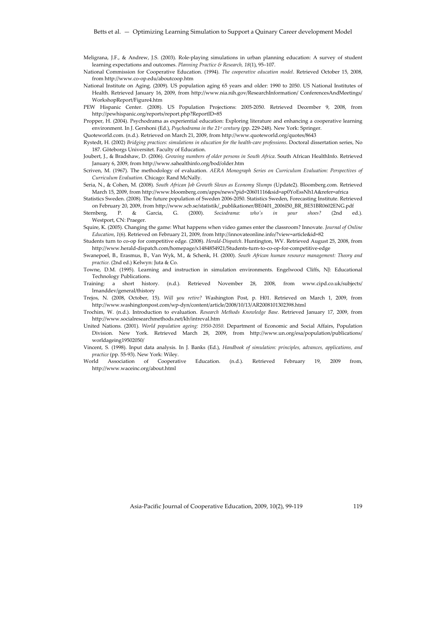- Meligrana, J.F., & Andrew, J.S. (2003). Role‐playing simulations in urban planning education: A survey of student learning expectations and outcomes. *Planning Practice & Research, 18*(1), 95–107.
- National Commission for Cooperative Education. (1994). *The cooperative education model*. Retrieved October 15, 2008, from http://www.co‐op.edu/aboutcoop.htm
- National Institute on Aging. (2009). US population aging 65 years and older: 1990 to 2050. US National Institutes of Health. Retrieved January 16, 2009, from http://www.nia.nih.gov/ResearchInformation/ ConferencesAndMeetings/ WorkshopReport/Figure4.htm
- PEW Hispanic Center. (2008). US Population Projections: 2005-2050. Retrieved December 9, 2008, from http://pewhispanic.org/reports/report.php?ReportID=85
- Propper, H. (2004). Psychodrama as experiential education: Exploring literature and enhancing a cooperative learning environment. In J. Gershoni (Ed.), *Psychodrama in the 21st century* (pp. 229‐248). New York: Springer.
- Quoteworld.com. (n.d.). Retrieved on March 21, 2009, from http://www.quoteworld.org/quotes/8643
- Rystedt, H. (2002) *Bridging practices: simulations in education for the health‐care professions*. Doctoral dissertation series, No 187. Göteborgs Universitet. Faculty of Education.
- Joubert, J., & Bradshaw, D. (2006). *Growing numbers of older persons in South Africa*. South African HealthInfo. Retrieved January 6, 2009, from http://www.sahealthinfo.org/bod/older.htm
- Scriven, M. (1967). The methodology of evaluation. *AERA Monograph Series on Curriculum Evaluation: Perspectives of Curriculum Evaluation*. Chicago: Rand McNally.
- Seria, N., & Cohen, M. (2008). *South African Job Growth Slows as Economy Slumps* (Update2). Bloomberg.com. Retrieved March 15, 2009, from http://www.bloomberg.com/apps/news?pid=20601116&sid=ap0YoEssNh1A&refer=africa
- Statistics Sweden. (2008). The future population of Sweden 2006‐2050. Statistics Sweden, Forecasting Institute. Retrieved on February 20, 2009, from http://www.scb.se/statistik/\_publikationer/BE0401\_2006I50\_BR\_BE51BR0602ENG.pdf
- Sternberg, P. & Garcia, G. (2000). *Sociodrama: whoʹs in your shoes?* (2nd ed.). Westport, CN: Praeger.
- Squire, K. (2005). Changing the game: What happens when video games enter the classroom? Innovate. *Journal of Online Education*, *1*(6). Retrieved on February 21, 2009, from http://innovateonline.info/?view=article&id=82
- Students turn to co‐op for competitive edge. (2008). *Herald‐Dispatch*. Huntington, WV. Retrieved August 25, 2008, from http://www.herald‐dispatch.com/homepage/x1484854921/Students‐turn‐to‐co‐op‐for‐competitive‐edge
- Swanepoel, B., Erasmus, B., Van Wyk, M., & Schenk, H. (2000). *South African human resource management: Theory and practice.* (2nd ed.) Kelwyn: Juta & Co.
- Towne, D.M. (1995). Learning and instruction in simulation environments. Engelwood Cliffs, NJ: Educational Technology Publications.
- Training: a short history. (n.d.). Retrieved November 28, 2008, from www.cipd.co.uk/subjects/ lrnanddev/general/thistory
- Trejos, N. (2008, October, 15). *Will you retire?* Washington Post, p. H01. Retrieved on March 1, 2009, from http://www.washingtonpost.com/wp‐dyn/content/article/2008/10/13/AR2008101302398.html
- Trochim, W. (n.d.). Introduction to evaluation. *Research Methods Knowledge Base*. Retrieved January 17, 2009, from http://www.socialresearchmethods.net/kb/intreval.htm
- United Nations. (2001). *World population ageing: 1950‐2050.* Department of Economic and Social Affairs, Population Division. New York. Retrieved March 28, 2009, from http://www.un.org/esa/population/publications/ worldageing19502050/
- Vincent, S. (1998). Input data analysis. In J. Banks (Ed.), *Handbook of simulation: principles, advances, applications, and practice* (pp. 55‐93). New York: Wiley.
- World Association of Cooperative Education. (n.d.). Retrieved February 19, 2009 from, http://www.waceinc.org/about.html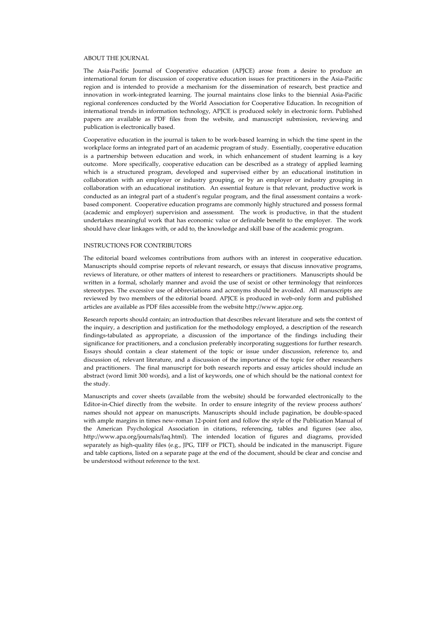#### ABOUT THE JOURNAL

The Asia‐Pacific Journal of Cooperative education (APJCE) arose from a desire to produce an international forum for discussion of cooperative education issues for practitioners in the Asia‐Pacific region and is intended to provide a mechanism for the dissemination of research, best practice and innovation in work‐integrated learning. The journal maintains close links to the biennial Asia‐Pacific regional conferences conducted by the World Association for Cooperative Education. In recognition of international trends in information technology, APJCE is produced solely in electronic form. Published papers are available as PDF files from the website, and manuscript submission, reviewing and publication is electronically based.

Cooperative education in the journal is taken to be work‐based learning in which the time spent in the workplace forms an integrated part of an academic program of study. Essentially, cooperative education is a partnership between education and work, in which enhancement of student learning is a key outcome. More specifically, cooperative education can be described as a strategy of applied learning which is a structured program, developed and supervised either by an educational institution in collaboration with an employer or industry grouping, or by an employer or industry grouping in collaboration with an educational institution. An essential feature is that relevant, productive work is conducted as an integral part of a studentʹs regular program, and the final assessment contains a work‐ based component. Cooperative education programs are commonly highly structured and possess formal (academic and employer) supervision and assessment. The work is productive, in that the student undertakes meaningful work that has economic value or definable benefit to the employer. The work should have clear linkages with, or add to, the knowledge and skill base of the academic program.

#### INSTRUCTIONS FOR CONTRIBUTORS

The editorial board welcomes contributions from authors with an interest in cooperative education. Manuscripts should comprise reports of relevant research, or essays that discuss innovative programs, reviews of literature, or other matters of interest to researchers or practitioners. Manuscripts should be written in a formal, scholarly manner and avoid the use of sexist or other terminology that reinforces stereotypes. The excessive use of abbreviations and acronyms should be avoided. All manuscripts are reviewed by two members of the editorial board. APJCE is produced in web‐only form and published articles are available as PDF files accessible from the website http://www.apjce.org.

Research reports should contain; an introduction that describes relevant literature and sets the context of the inquiry, a description and justification for the methodology employed, a description of the research findings‐tabulated as appropriate, a discussion of the importance of the findings including their significance for practitioners, and a conclusion preferably incorporating suggestions for further research. Essays should contain a clear statement of the topic or issue under discussion, reference to, and discussion of, relevant literature, and a discussion of the importance of the topic for other researchers and practitioners. The final manuscript for both research reports and essay articles should include an abstract (word limit 300 words), and a list of keywords, one of which should be the national context for the study.

Manuscripts and cover sheets (available from the website) should be forwarded electronically to the Editor-in-Chief directly from the website. In order to ensure integrity of the review process authors' names should not appear on manuscripts. Manuscripts should include pagination, be double‐spaced with ample margins in times new-roman 12-point font and follow the style of the Publication Manual of the American Psychological Association in citations, referencing, tables and figures (see also, http://www.apa.org/journals/faq.html). The intended location of figures and diagrams, provided separately as high-quality files (e.g., JPG, TIFF or PICT), should be indicated in the manuscript. Figure and table captions, listed on a separate page at the end of the document, should be clear and concise and be understood without reference to the text.